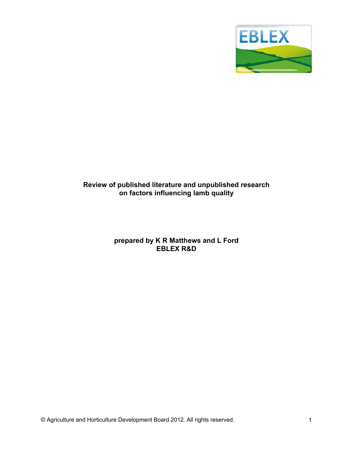

# Review of published literature and unpublished research<br>on factors influencing lamb quality

# prepared by K R Matthews and L Ford **EBLEX R&D**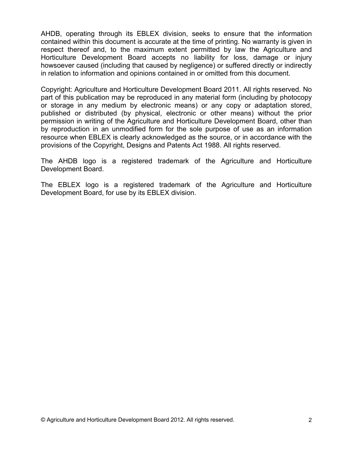AHDB, operating through its EBLEX division, seeks to ensure that the information contained within this document is accurate at the time of printing. No warranty is given in respect thereof and, to the maximum extent permitted by law the Agriculture and Horticulture Development Board accepts no liability for loss, damage or injury howsoever caused (including that caused by negligence) or suffered directly or indirectly in relation to information and opinions contained in or omitted from this document.

Copyright: Agriculture and Horticulture Development Board 2011. All rights reserved. No part of this publication may be reproduced in any material form (including by photocopy or storage in any medium by electronic means) or any copy or adaptation stored, published or distributed (by physical, electronic or other means) without the prior permission in writing of the Agriculture and Horticulture Development Board, other than by reproduction in an unmodified form for the sole purpose of use as an information resource when EBLEX is clearly acknowledged as the source, or in accordance with the provisions of the Copyright, Designs and Patents Act 1988. All rights reserved.

The AHDB logo is a registered trademark of the Agriculture and Horticulture Development Board.

The EBLEX logo is a registered trademark of the Agriculture and Horticulture Development Board, for use by its EBLEX division.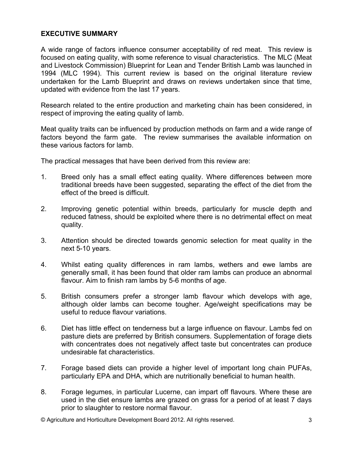# **EXECUTIVE SUMMARY**

A wide range of factors influence consumer acceptability of red meat. This review is focused on eating quality, with some reference to visual characteristics. The MLC (Meat and Livestock Commission) Blueprint for Lean and Tender British Lamb was launched in 1994 (MLC 1994). This current review is based on the original literature review undertaken for the Lamb Blueprint and draws on reviews undertaken since that time, updated with evidence from the last 17 years.

Research related to the entire production and marketing chain has been considered, in respect of improving the eating quality of lamb.

Meat quality traits can be influenced by production methods on farm and a wide range of factors beyond the farm gate. The review summarises the available information on these various factors for lamb.

The practical messages that have been derived from this review are:

- $1<sub>1</sub>$ Breed only has a small effect eating quality. Where differences between more traditional breeds have been suggested, separating the effect of the diet from the effect of the breed is difficult.
- $2<sub>1</sub>$ Improving genetic potential within breeds, particularly for muscle depth and reduced fatness, should be exploited where there is no detrimental effect on meat quality.
- 3. Attention should be directed towards genomic selection for meat quality in the next 5-10 years.
- $\overline{4}$ . Whilst eating quality differences in ram lambs, wethers and ewe lambs are generally small, it has been found that older ram lambs can produce an abnormal flavour. Aim to finish ram lambs by 5-6 months of age.
- 5. British consumers prefer a stronger lamb flavour which develops with age. although older lambs can become tougher. Age/weight specifications may be useful to reduce flavour variations.
- 6. Diet has little effect on tenderness but a large influence on flavour. Lambs fed on pasture diets are preferred by British consumers. Supplementation of forage diets with concentrates does not negatively affect taste but concentrates can produce undesirable fat characteristics.
- $7<sub>1</sub>$ Forage based diets can provide a higher level of important long chain PUFAs, particularly EPA and DHA, which are nutritionally beneficial to human health.
- 8. Forage legumes, in particular Lucerne, can impart off flavours. Where these are used in the diet ensure lambs are grazed on grass for a period of at least 7 days prior to slaughter to restore normal flavour.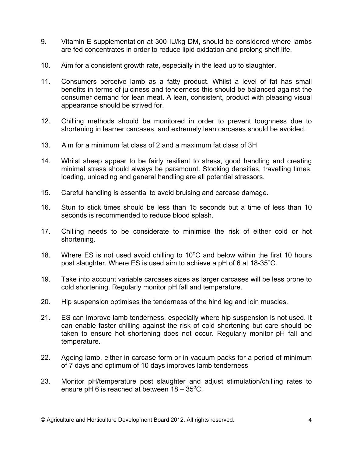- 9. Vitamin E supplementation at 300 IU/kg DM, should be considered where lambs are fed concentrates in order to reduce lipid oxidation and prolong shelf life.
- $10.$ Aim for a consistent growth rate, especially in the lead up to slaughter.
- $11.$ Consumers perceive lamb as a fatty product. Whilst a level of fat has small benefits in terms of juiciness and tenderness this should be balanced against the consumer demand for lean meat. A lean, consistent, product with pleasing visual appearance should be strived for.
- Chilling methods should be monitored in order to prevent toughness due to  $12.$ shortening in learner carcases, and extremely lean carcases should be avoided.
- $13<sub>1</sub>$ Aim for a minimum fat class of 2 and a maximum fat class of 3H
- 14. Whilst sheep appear to be fairly resilient to stress, good handling and creating minimal stress should always be paramount. Stocking densities, travelling times, loading, unloading and general handling are all potential stressors.
- $15.$ Careful handling is essential to avoid bruising and carcase damage.
- Stun to stick times should be less than 15 seconds but a time of less than 10  $16.$ seconds is recommended to reduce blood splash.
- $17<sub>1</sub>$ Chilling needs to be considerate to minimise the risk of either cold or hot shortening.
- $18.$ Where ES is not used avoid chilling to 10<sup>o</sup>C and below within the first 10 hours post slaughter. Where ES is used aim to achieve a pH of 6 at 18-35°C.
- 19. Take into account variable carcases sizes as larger carcases will be less prone to cold shortening. Regularly monitor pH fall and temperature.
- $20.$ Hip suspension optimises the tenderness of the hind leg and loin muscles.
- $21.$ ES can improve lamb tenderness, especially where hip suspension is not used. It can enable faster chilling against the risk of cold shortening but care should be taken to ensure hot shortening does not occur. Regularly monitor pH fall and temperature.
- $22.$ Ageing lamb, either in carcase form or in vacuum packs for a period of minimum of 7 days and optimum of 10 days improves lamb tenderness
- 23. Monitor pH/temperature post slaughter and adjust stimulation/chilling rates to ensure pH 6 is reached at between  $18 - 35^{\circ}$ C.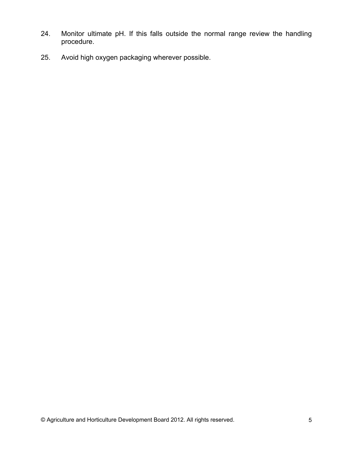- $24.$ Monitor ultimate pH. If this falls outside the normal range review the handling procedure.
- $25.$ Avoid high oxygen packaging wherever possible.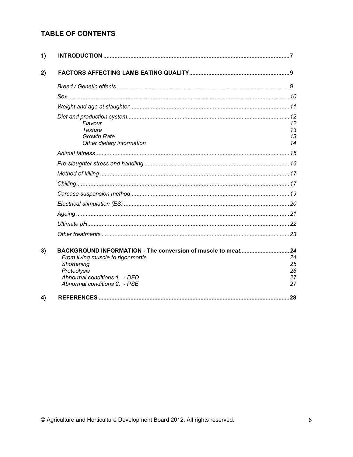# **TABLE OF CONTENTS**

| 1) |                                                                              |                      |
|----|------------------------------------------------------------------------------|----------------------|
| 2) |                                                                              |                      |
|    |                                                                              |                      |
|    |                                                                              |                      |
|    |                                                                              |                      |
|    | Flavour<br><b>Texture</b><br><b>Growth Rate</b><br>Other dietary information | 12<br>13<br>13<br>14 |
|    |                                                                              |                      |
|    |                                                                              |                      |
|    |                                                                              |                      |
|    |                                                                              |                      |
|    |                                                                              |                      |
|    |                                                                              |                      |
|    |                                                                              |                      |
|    |                                                                              |                      |
|    |                                                                              |                      |
| 3) | BACKGROUND INFORMATION - The conversion of muscle to meat24                  |                      |
|    | From living muscle to rigor mortis<br>Shortening                             | 24<br>25             |
|    | Proteolysis                                                                  | 26                   |
|    | Abnormal conditions 1. - DFD                                                 | 27                   |
|    | Abnormal conditions 2. - PSE                                                 | 27                   |
| 4) |                                                                              | .28                  |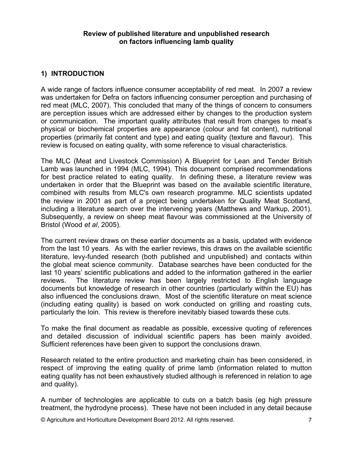# 1) INTRODUCTION

A wide range of factors influence consumer acceptability of red meat. In 2007 a review was undertaken for Defra on factors influencing consumer perception and purchasing of red meat (MLC, 2007). This concluded that many of the things of concern to consumers are perception issues which are addressed either by changes to the production system or communication. The important quality attributes that result from changes to meat's physical or biochemical properties are appearance (colour and fat content), nutritional properties (primarily fat content and type) and eating quality (texture and flavour). This review is focused on eating quality, with some reference to visual characteristics.

The MLC (Meat and Livestock Commission) A Blueprint for Lean and Tender British Lamb was launched in 1994 (MLC, 1994). This document comprised recommendations for best practice related to eating quality. In defining these, a literature review was undertaken in order that the Blueprint was based on the available scientific literature, combined with results from MLC's own research programme. MLC scientists updated the review in 2001 as part of a project being undertaken for Quality Meat Scotland, including a literature search over the intervening years (Matthews and Warkup, 2001). Subsequently, a review on sheep meat flavour was commissioned at the University of Bristol (Wood et al, 2005).

The current review draws on these earlier documents as a basis, updated with evidence from the last 10 years. As with the earlier reviews, this draws on the available scientific literature, levy-funded research (both published and unpublished) and contacts within the global meat science community. Database searches have been conducted for the last 10 years' scientific publications and added to the information gathered in the earlier The literature review has been largely restricted to English language reviews. documents but knowledge of research in other countries (particularly within the EU) has also influenced the conclusions drawn. Most of the scientific literature on meat science (including eating quality) is based on work conducted on grilling and roasting cuts, particularly the loin. This review is therefore inevitably biased towards these cuts.

To make the final document as readable as possible, excessive quoting of references and detailed discussion of individual scientific papers has been mainly avoided. Sufficient references have been given to support the conclusions drawn.

Research related to the entire production and marketing chain has been considered, in respect of improving the eating quality of prime lamb (information related to mutton eating quality has not been exhaustively studied although is referenced in relation to age and quality).

A number of technologies are applicable to cuts on a batch basis (eg high pressure treatment, the hydrodyne process). These have not been included in any detail because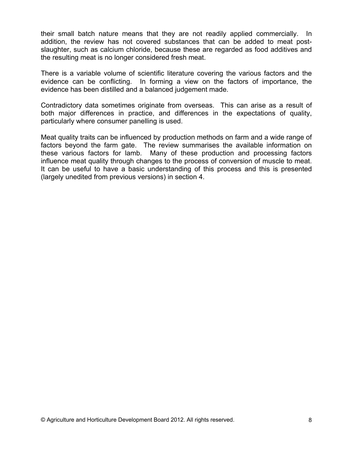their small batch nature means that they are not readily applied commercially. In addition, the review has not covered substances that can be added to meat postslaughter, such as calcium chloride, because these are regarded as food additives and the resulting meat is no longer considered fresh meat.

There is a variable volume of scientific literature covering the various factors and the evidence can be conflicting. In forming a view on the factors of importance, the evidence has been distilled and a balanced judgement made.

Contradictory data sometimes originate from overseas. This can arise as a result of both major differences in practice, and differences in the expectations of quality, particularly where consumer panelling is used.

Meat quality traits can be influenced by production methods on farm and a wide range of factors beyond the farm gate. The review summarises the available information on these various factors for lamb. Many of these production and processing factors influence meat quality through changes to the process of conversion of muscle to meat. It can be useful to have a basic understanding of this process and this is presented (largely unedited from previous versions) in section 4.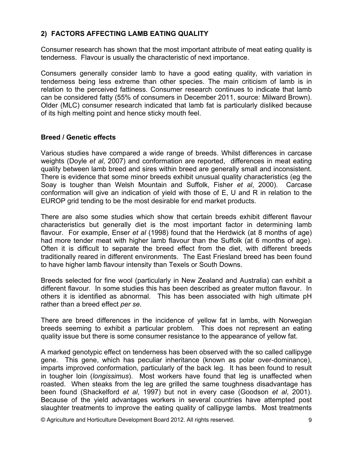# 2) FACTORS AFFECTING LAMB EATING QUALITY

Consumer research has shown that the most important attribute of meat eating quality is tenderness. Flavour is usually the characteristic of next importance.

Consumers generally consider lamb to have a good eating quality, with variation in tenderness being less extreme than other species. The main criticism of lamb is in relation to the perceived fattiness. Consumer research continues to indicate that lamb can be considered fatty (55% of consumers in December 2011, source: Milward Brown). Older (MLC) consumer research indicated that lamb fat is particularly disliked because of its high melting point and hence sticky mouth feel.

# **Breed / Genetic effects**

Various studies have compared a wide range of breeds. Whilst differences in carcase weights (Doyle et al, 2007) and conformation are reported, differences in meat eating quality between lamb breed and sires within breed are generally small and inconsistent. There is evidence that some minor breeds exhibit unusual quality characteristics (eg the Soay is tougher than Welsh Mountain and Suffolk, Fisher et al, 2000). Carcase conformation will give an indication of yield with those of E, U and R in relation to the EUROP grid tending to be the most desirable for end market products.

There are also some studies which show that certain breeds exhibit different flavour characteristics but generally diet is the most important factor in determining lamb flavour. For example, Enser et al (1998) found that the Herdwick (at 8 months of age) had more tender meat with higher lamb flavour than the Suffolk (at 6 months of age). Often it is difficult to separate the breed effect from the diet, with different breeds traditionally reared in different environments. The East Friesland breed has been found to have higher lamb flavour intensity than Texels or South Downs.

Breeds selected for fine wool (particularly in New Zealand and Australia) can exhibit a different flavour. In some studies this has been described as greater mutton flavour. In others it is identified as abnormal. This has been associated with high ultimate pH rather than a breed effect per se.

There are breed differences in the incidence of yellow fat in lambs, with Norwegian breeds seeming to exhibit a particular problem. This does not represent an eating quality issue but there is some consumer resistance to the appearance of yellow fat.

A marked genotypic effect on tenderness has been observed with the so called callipyge gene. This gene, which has peculiar inheritance (known as polar over-dominance), imparts improved conformation, particularly of the back leg. It has been found to result in tougher loin (longissimus). Most workers have found that leg is unaffected when roasted. When steaks from the leg are grilled the same toughness disadvantage has been found (Shackelford et al, 1997) but not in every case (Goodson et al, 2001). Because of the yield advantages workers in several countries have attempted post slaughter treatments to improve the eating quality of callipyge lambs. Most treatments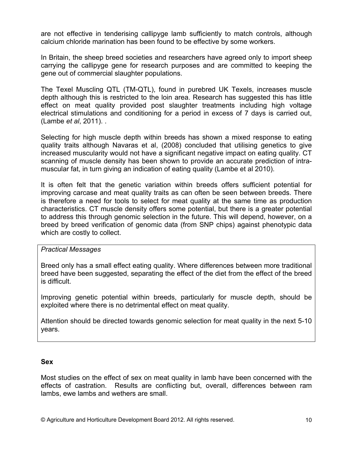are not effective in tenderising callipyge lamb sufficiently to match controls, although calcium chloride marination has been found to be effective by some workers.

In Britain, the sheep breed societies and researchers have agreed only to import sheep carrying the callipyge gene for research purposes and are committed to keeping the gene out of commercial slaughter populations.

The Texel Muscling QTL (TM-QTL), found in purebred UK Texels, increases muscle depth although this is restricted to the loin area. Research has suggested this has little effect on meat quality provided post slaughter treatments including high voltage electrical stimulations and conditioning for a period in excess of 7 days is carried out, (Lambe et al, 2011)...

Selecting for high muscle depth within breeds has shown a mixed response to eating quality traits although Navaras et al. (2008) concluded that utilising genetics to give increased muscularity would not have a significant negative impact on eating quality. CT scanning of muscle density has been shown to provide an accurate prediction of intramuscular fat, in turn giving an indication of eating quality (Lambe et al 2010).

It is often felt that the genetic variation within breeds offers sufficient potential for improving carcase and meat quality traits as can often be seen between breeds. There is therefore a need for tools to select for meat quality at the same time as production characteristics. CT muscle density offers some potential, but there is a greater potential to address this through genomic selection in the future. This will depend, however, on a breed by breed verification of genomic data (from SNP chips) against phenotypic data which are costly to collect.

# **Practical Messages**

Breed only has a small effect eating quality. Where differences between more traditional breed have been suggested, separating the effect of the diet from the effect of the breed is difficult.

Improving genetic potential within breeds, particularly for muscle depth, should be exploited where there is no detrimental effect on meat quality.

Attention should be directed towards genomic selection for meat quality in the next 5-10 years.

# **Sex**

Most studies on the effect of sex on meat quality in lamb have been concerned with the effects of castration. Results are conflicting but, overall, differences between ram lambs, ewe lambs and wethers are small.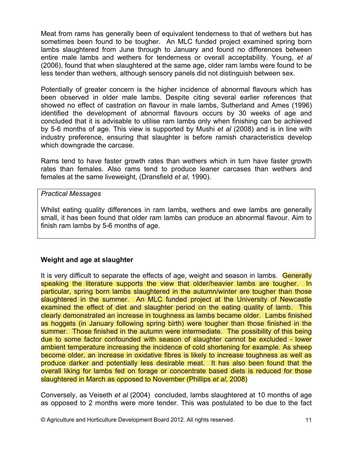Meat from rams has generally been of equivalent tenderness to that of wethers but has sometimes been found to be tougher. An MLC funded project examined spring born lambs slaughtered from June through to January and found no differences between entire male lambs and wethers for tenderness or overall acceptability. Young, et all (2006), found that when slaughtered at the same age, older ram lambs were found to be less tender than wethers, although sensory panels did not distinguish between sex.

Potentially of greater concern is the higher incidence of abnormal flayours which has been observed in older male lambs. Despite citing several earlier references that showed no effect of castration on flavour in male lambs, Sutherland and Ames (1996) identified the development of abnormal flavours occurs by 30 weeks of age and concluded that it is advisable to utilise ram lambs only when finishing can be achieved by 5-6 months of age. This view is supported by Mushi *et al* (2008) and is in line with industry preference, ensuring that slaughter is before ramish characteristics develop which downgrade the carcase.

Rams tend to have faster growth rates than wethers which in turn have faster growth rates than females. Also rams tend to produce leaner carcases than wethers and females at the same liveweight, (Dransfield et al, 1990).

#### **Practical Messages**

Whilst eating quality differences in ram lambs, wethers and ewe lambs are generally small, it has been found that older ram lambs can produce an abnormal flavour. Aim to finish ram lambs by 5-6 months of age.

# Weight and age at slaughter

It is very difficult to separate the effects of age, weight and season in lambs. Generally speaking the literature supports the view that older/heavier lambs are tougher. In particular, spring born lambs slaughtered in the autumn/winter are tougher than those slaughtered in the summer. An MLC funded project at the University of Newcastle examined the effect of diet and slaughter period on the eating quality of lamb. This clearly demonstrated an increase in toughness as lambs became older. Lambs finished as hoggets (in January following spring birth) were tougher than those finished in the summer. Those finished in the autumn were intermediate. The possibility of this being due to some factor confounded with season of slaughter cannot be excluded - lower ambient temperature increasing the incidence of cold shortening for example. As sheep become older, an increase in oxidative fibres is likely to increase toughness as well as produce darker and potentially less desirable meat. It has also been found that the overall liking for lambs fed on forage or concentrate based diets is reduced for those slaughtered in March as opposed to November (Phillips et al. 2008)

Conversely, as Veiseth et al (2004) concluded, lambs slaughtered at 10 months of age as opposed to 2 months were more tender. This was postulated to be due to the fact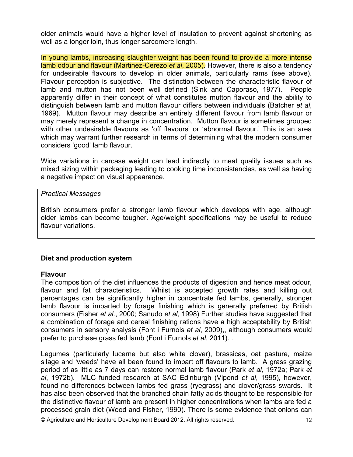older animals would have a higher level of insulation to prevent against shortening as well as a longer loin, thus longer sarcomere length.

In young lambs, increasing slaughter weight has been found to provide a more intense lamb odour and flavour (Martinez-Cerezo et al. 2005). However, there is also a tendency for undesirable flavours to develop in older animals, particularly rams (see above). Flavour perception is subjective. The distinction between the characteristic flavour of lamb and mutton has not been well defined (Sink and Caporaso, 1977). People apparently differ in their concept of what constitutes mutton flavour and the ability to distinguish between lamb and mutton flavour differs between individuals (Batcher et al. 1969). Mutton flavour may describe an entirely different flavour from lamb flavour or may merely represent a change in concentration. Mutton flavour is sometimes grouped with other undesirable flavours as 'off flavours' or 'abnormal flavour.' This is an area which may warrant further research in terms of determining what the modern consumer considers 'good' lamb flavour.

Wide variations in carcase weight can lead indirectly to meat quality issues such as mixed sizing within packaging leading to cooking time inconsistencies, as well as having a negative impact on visual appearance.

#### **Practical Messages**

British consumers prefer a stronger lamb flavour which develops with age, although older lambs can become tougher. Age/weight specifications may be useful to reduce flavour variations.

# Diet and production system

# **Flavour**

The composition of the diet influences the products of digestion and hence meat odour, flavour and fat characteristics. Whilst is accepted growth rates and killing out percentages can be significantly higher in concentrate fed lambs, generally, stronger lamb flavour is imparted by forage finishing which is generally preferred by British consumers (Fisher et al., 2000; Sanudo et al, 1998) Further studies have suggested that a combination of forage and cereal finishing rations have a high acceptability by British consumers in sensory analysis (Font i Furnols et al, 2009), although consumers would prefer to purchase grass fed lamb (Font i Furnols et al. 2011).

Legumes (particularly lucerne but also white clover), brassicas, oat pasture, maize silage and 'weeds' have all been found to impart off flavours to lamb. A grass grazing period of as little as 7 days can restore normal lamb flavour (Park et al, 1972a; Park et al, 1972b). MLC funded research at SAC Edinburgh (Vipond et al, 1995), however, found no differences between lambs fed grass (ryegrass) and clover/grass swards. It has also been observed that the branched chain fatty acids thought to be responsible for the distinctive flavour of lamb are present in higher concentrations when lambs are fed a processed grain diet (Wood and Fisher, 1990). There is some evidence that onions can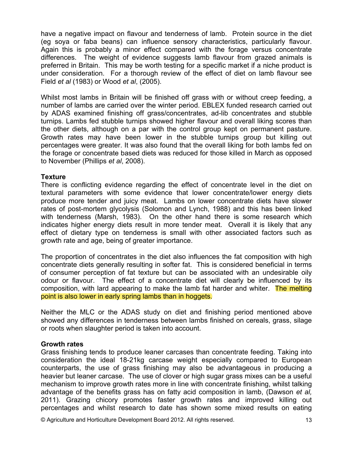have a negative impact on flavour and tenderness of lamb. Protein source in the diet (eg soya or faba beans) can influence sensory characteristics, particularly flavour. Again this is probably a minor effect compared with the forage versus concentrate differences. The weight of evidence suggests lamb flavour from grazed animals is preferred in Britain. This may be worth testing for a specific market if a niche product is under consideration. For a thorough review of the effect of diet on lamb flavour see Field et al (1983) or Wood et al, (2005).

Whilst most lambs in Britain will be finished off grass with or without creep feeding, a number of lambs are carried over the winter period. EBLEX funded research carried out by ADAS examined finishing off grass/concentrates, ad-lib concentrates and stubble turnips. Lambs fed stubble turnips showed higher flavour and overall liking scores than the other diets, although on a par with the control group kept on permanent pasture. Growth rates may have been lower in the stubble turnips group but killing out percentages were greater. It was also found that the overall liking for both lambs fed on the forage or concentrate based diets was reduced for those killed in March as opposed to November (Phillips et al, 2008).

## **Texture**

There is conflicting evidence regarding the effect of concentrate level in the diet on textural parameters with some evidence that lower concentrate/lower energy diets produce more tender and juicy meat. Lambs on lower concentrate diets have slower rates of post-mortem glycolysis (Solomon and Lynch, 1988) and this has been linked with tenderness (Marsh, 1983). On the other hand there is some research which indicates higher energy diets result in more tender meat. Overall it is likely that any effect of dietary type on tenderness is small with other associated factors such as growth rate and age, being of greater importance.

The proportion of concentrates in the diet also influences the fat composition with high concentrate diets generally resulting in softer fat. This is considered beneficial in terms of consumer perception of fat texture but can be associated with an undesirable oily odour or flavour. The effect of a concentrate diet will clearly be influenced by its composition, with lard appearing to make the lamb fat harder and whiter. The melting point is also lower in early spring lambs than in hoggets.

Neither the MLC or the ADAS study on diet and finishing period mentioned above showed any differences in tenderness between lambs finished on cereals, grass, silage or roots when slaughter period is taken into account.

#### **Growth rates**

Grass finishing tends to produce leaner carcases than concentrate feeding. Taking into consideration the ideal 18-21kg carcase weight especially compared to European counterparts, the use of grass finishing may also be advantageous in producing a heavier but leaner carcase. The use of clover or high sugar grass mixes can be a useful mechanism to improve growth rates more in line with concentrate finishing, whilst talking advantage of the benefits grass has on fatty acid composition in lamb, (Dawson et al, 2011). Grazing chicory promotes faster growth rates and improved killing out percentages and whilst research to date has shown some mixed results on eating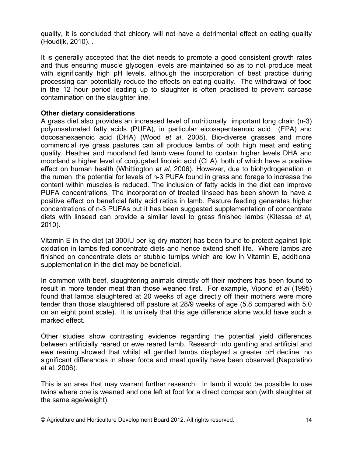quality, it is concluded that chicory will not have a detrimental effect on eating quality (Houdijk, 2010). .

It is generally accepted that the diet needs to promote a good consistent growth rates and thus ensuring muscle glycogen levels are maintained so as to not produce meat with significantly high pH levels, although the incorporation of best practice during processing can potentially reduce the effects on eating quality. The withdrawal of food in the 12 hour period leading up to slaughter is often practised to prevent carcase contamination on the slaughter line.

# Other dietary considerations

A grass diet also provides an increased level of nutritionally important long chain (n-3) polyunsaturated fatty acids (PUFA), in particular eicosapentaenoic acid (EPA) and docosahexaenoic acid (DHA) (Wood et al, 2008). Bio-diverse grasses and more commercial rye grass pastures can all produce lambs of both high meat and eating quality. Heather and moorland fed lamb were found to contain higher levels DHA and moorland a higher level of conjugated linoleic acid (CLA), both of which have a positive effect on human health (Whittington et al. 2006). However, due to biohydrogenation in the rumen, the potential for levels of n-3 PUFA found in grass and forage to increase the content within muscles is reduced. The inclusion of fatty acids in the diet can improve PUFA concentrations. The incorporation of treated linseed has been shown to have a positive effect on beneficial fatty acid ratios in lamb. Pasture feeding generates higher concentrations of n-3 PUFAs but it has been suggested supplementation of concentrate diets with linseed can provide a similar level to grass finished lambs (Kitessa et al.  $2010$ ).

Vitamin E in the diet (at 300IU per kg dry matter) has been found to protect against lipid oxidation in lambs fed concentrate diets and hence extend shelf life. Where lambs are finished on concentrate diets or stubble turnips which are low in Vitamin E, additional supplementation in the diet may be beneficial.

In common with beef, slaughtering animals directly off their mothers has been found to result in more tender meat than those weaned first. For example, Vipond et al (1995) found that lambs slaughtered at 20 weeks of age directly off their mothers were more tender than those slaughtered off pasture at 28/9 weeks of age (5.8 compared with 5.0 on an eight point scale). It is unlikely that this age difference alone would have such a marked effect.

Other studies show contrasting evidence regarding the potential yield differences between artificially reared or ewe reared lamb. Research into gentling and artificial and ewe rearing showed that whilst all gentled lambs displayed a greater pH decline, no significant differences in shear force and meat quality have been observed (Napolatino et al, 2006).

This is an area that may warrant further research. In lamb it would be possible to use twins where one is weaned and one left at foot for a direct comparison (with slaughter at the same age/weight).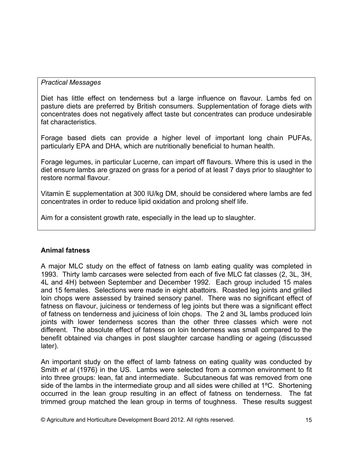# **Practical Messages**

Diet has little effect on tenderness but a large influence on flavour. Lambs fed on pasture diets are preferred by British consumers. Supplementation of forage diets with concentrates does not negatively affect taste but concentrates can produce undesirable fat characteristics.

Forage based diets can provide a higher level of important long chain PUFAs. particularly EPA and DHA, which are nutritionally beneficial to human health.

Forage legumes, in particular Lucerne, can impart off flavours. Where this is used in the diet ensure lambs are grazed on grass for a period of at least 7 days prior to slaughter to restore normal flavour.

Vitamin E supplementation at 300 IU/kg DM, should be considered where lambs are fed concentrates in order to reduce lipid oxidation and prolong shelf life.

Aim for a consistent growth rate, especially in the lead up to slaughter.

# **Animal fatness**

A major MLC study on the effect of fatness on lamb eating quality was completed in 1993. Thirty lamb carcases were selected from each of five MLC fat classes (2, 3L, 3H, 4L and 4H) between September and December 1992. Each group included 15 males and 15 females. Selections were made in eight abattoirs. Roasted leg joints and grilled loin chops were assessed by trained sensory panel. There was no significant effect of fatness on flavour, juiciness or tenderness of leg joints but there was a significant effect of fatness on tenderness and juiciness of loin chops. The 2 and 3L lambs produced loin joints with lower tenderness scores than the other three classes which were not different. The absolute effect of fatness on loin tenderness was small compared to the benefit obtained via changes in post slaughter carcase handling or ageing (discussed later).

An important study on the effect of lamb fatness on eating quality was conducted by Smith et al (1976) in the US. Lambs were selected from a common environment to fit into three groups: lean, fat and intermediate. Subcutaneous fat was removed from one side of the lambs in the intermediate group and all sides were chilled at  $1^{\circ}$ C. Shortening occurred in the lean group resulting in an effect of fatness on tenderness. The fat trimmed group matched the lean group in terms of toughness. These results suggest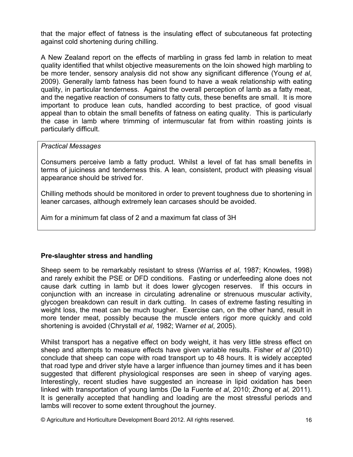that the major effect of fatness is the insulating effect of subcutaneous fat protecting against cold shortening during chilling.

A New Zealand report on the effects of marbling in grass fed lamb in relation to meat quality identified that whilst objective measurements on the loin showed high marbling to be more tender, sensory analysis did not show any significant difference (Young et al. 2009). Generally lamb fatness has been found to have a weak relationship with eating quality, in particular tenderness. Against the overall perception of lamb as a fatty meat, and the negative reaction of consumers to fatty cuts, these benefits are small. It is more important to produce lean cuts, handled according to best practice, of good visual appeal than to obtain the small benefits of fatness on eating quality. This is particularly the case in lamb where trimming of intermuscular fat from within roasting joints is particularly difficult.

## **Practical Messages**

Consumers perceive lamb a fatty product. Whilst a level of fat has small benefits in terms of juiciness and tenderness this. A lean, consistent, product with pleasing visual appearance should be strived for.

Chilling methods should be monitored in order to prevent toughness due to shortening in leaner carcases, although extremely lean carcases should be avoided.

Aim for a minimum fat class of 2 and a maximum fat class of 3H

# Pre-slaughter stress and handling

Sheep seem to be remarkably resistant to stress (Warriss et al. 1987; Knowles, 1998) and rarely exhibit the PSE or DFD conditions. Fasting or underfeeding alone does not cause dark cutting in lamb but it does lower glycogen reserves. If this occurs in conjunction with an increase in circulating adrenaline or strenuous muscular activity, glycogen breakdown can result in dark cutting. In cases of extreme fasting resulting in weight loss, the meat can be much tougher. Exercise can, on the other hand, result in more tender meat, possibly because the muscle enters rigor more quickly and cold shortening is avoided (Chrystall et al. 1982; Warner et al. 2005).

Whilst transport has a negative effect on body weight, it has very little stress effect on sheep and attempts to measure effects have given variable results. Fisher et al (2010) conclude that sheep can cope with road transport up to 48 hours. It is widely accepted that road type and driver style have a larger influence than journey times and it has been suggested that different physiological responses are seen in sheep of varying ages. Interestingly, recent studies have suggested an increase in lipid oxidation has been linked with transportation of young lambs (De la Fuente et al. 2010; Zhong et al. 2011). It is generally accepted that handling and loading are the most stressful periods and lambs will recover to some extent throughout the journey.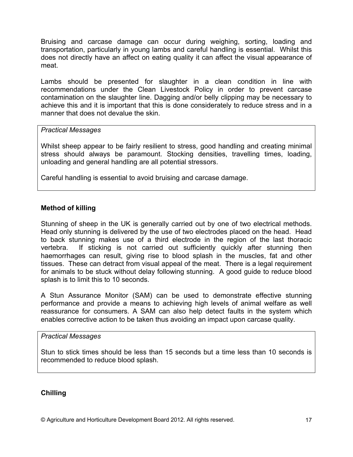Bruising and carcase damage can occur during weighing, sorting, loading and transportation, particularly in young lambs and careful handling is essential. Whilst this does not directly have an affect on eating quality it can affect the visual appearance of meat.

Lambs should be presented for slaughter in a clean condition in line with recommendations under the Clean Livestock Policy in order to prevent carcase contamination on the slaughter line. Dagging and/or belly clipping may be necessary to achieve this and it is important that this is done considerately to reduce stress and in a manner that does not devalue the skin

# **Practical Messages**

Whilst sheep appear to be fairly resilient to stress, good handling and creating minimal stress should always be paramount. Stocking densities, travelling times, loading, unloading and general handling are all potential stressors.

Careful handling is essential to avoid bruising and carcase damage.

# **Method of killing**

Stunning of sheep in the UK is generally carried out by one of two electrical methods. Head only stunning is delivered by the use of two electrodes placed on the head. Head to back stunning makes use of a third electrode in the region of the last thoracic vertebra. If sticking is not carried out sufficiently quickly after stunning then haemorrhages can result, giving rise to blood splash in the muscles, fat and other tissues. These can detract from visual appeal of the meat. There is a legal requirement for animals to be stuck without delay following stunning. A good guide to reduce blood splash is to limit this to 10 seconds.

A Stun Assurance Monitor (SAM) can be used to demonstrate effective stunning performance and provide a means to achieving high levels of animal welfare as well reassurance for consumers. A SAM can also help detect faults in the system which enables corrective action to be taken thus avoiding an impact upon carcase quality.

#### **Practical Messages**

Stun to stick times should be less than 15 seconds but a time less than 10 seconds is recommended to reduce blood splash.

# **Chilling**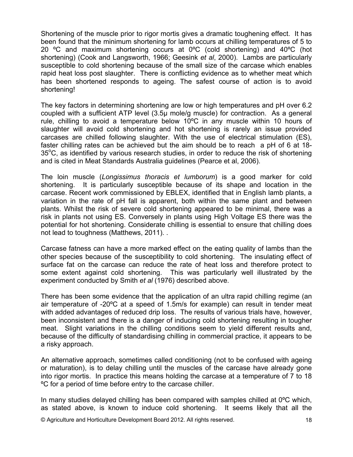Shortening of the muscle prior to rigor mortis gives a dramatic toughening effect. It has been found that the minimum shortening for lamb occurs at chilling temperatures of 5 to 20 °C and maximum shortening occurs at 0°C (cold shortening) and 40°C (hot shortening) (Cook and Langsworth, 1966; Geesink et al. 2000). Lambs are particularly susceptible to cold shortening because of the small size of the carcase which enables rapid heat loss post slaughter. There is conflicting evidence as to whether meat which has been shortened responds to ageing. The safest course of action is to avoid shortening!

The key factors in determining shortening are low or high temperatures and pH over 6.2 coupled with a sufficient ATP level (3.5µ mole/g muscle) for contraction. As a general rule, chilling to avoid a temperature below 10°C in any muscle within 10 hours of slaughter will avoid cold shortening and hot shortening is rarely an issue provided carcases are chilled following slaughter. With the use of electrical stimulation (ES), faster chilling rates can be achieved but the aim should be to reach a pH of 6 at 18- $35^{\circ}$ C, as identified by various research studies, in order to reduce the risk of shortening and is cited in Meat Standards Australia guidelines (Pearce et al. 2006).

The loin muscle (Longissimus thoracis et lumborum) is a good marker for cold It is particularly susceptible because of its shape and location in the shortening. carcase. Recent work commissioned by EBLEX, identified that in English lamb plants, a variation in the rate of pH fall is apparent, both within the same plant and between plants. Whilst the risk of severe cold shortening appeared to be minimal, there was a risk in plants not using ES. Conversely in plants using High Voltage ES there was the potential for hot shortening. Considerate chilling is essential to ensure that chilling does not lead to toughness (Matthews, 2011)...

Carcase fatness can have a more marked effect on the eating quality of lambs than the other species because of the susceptibility to cold shortening. The insulating effect of surface fat on the carcase can reduce the rate of heat loss and therefore protect to some extent against cold shortening. This was particularly well illustrated by the experiment conducted by Smith et al (1976) described above.

There has been some evidence that the application of an ultra rapid chilling regime (an air temperature of -20°C at a speed of 1.5m/s for example) can result in tender meat with added advantages of reduced drip loss. The results of various trials have, however, been inconsistent and there is a danger of inducing cold shortening resulting in tougher meat. Slight variations in the chilling conditions seem to yield different results and, because of the difficulty of standardising chilling in commercial practice, it appears to be a risky approach.

An alternative approach, sometimes called conditioning (not to be confused with ageing or maturation), is to delay chilling until the muscles of the carcase have already gone into rigor mortis. In practice this means holding the carcase at a temperature of 7 to 18 °C for a period of time before entry to the carcase chiller.

In many studies delayed chilling has been compared with samples chilled at 0°C which, as stated above, is known to induce cold shortening. It seems likely that all the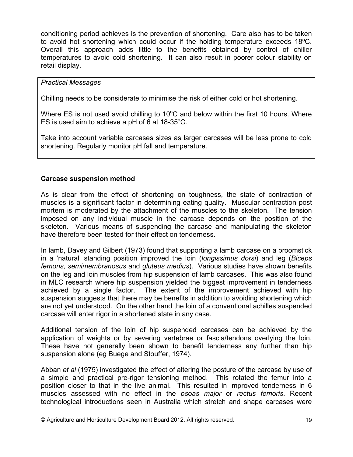conditioning period achieves is the prevention of shortening. Care also has to be taken to avoid hot shortening which could occur if the holding temperature exceeds 18°C. Overall this approach adds little to the benefits obtained by control of chiller temperatures to avoid cold shortening. It can also result in poorer colour stability on retail display.

# **Practical Messages**

Chilling needs to be considerate to minimise the risk of either cold or hot shortening.

Where ES is not used avoid chilling to  $10^{\circ}$ C and below within the first 10 hours. Where ES is used aim to achieve a pH of 6 at  $18-35^{\circ}$ C.

Take into account variable carcases sizes as larger carcases will be less prone to cold shortening. Regularly monitor pH fall and temperature.

# **Carcase suspension method**

As is clear from the effect of shortening on toughness, the state of contraction of muscles is a significant factor in determining eating quality. Muscular contraction post mortem is moderated by the attachment of the muscles to the skeleton. The tension imposed on any individual muscle in the carcase depends on the position of the skeleton. Various means of suspending the carcase and manipulating the skeleton have therefore been tested for their effect on tenderness.

In lamb, Davey and Gilbert (1973) found that supporting a lamb carcase on a broomstick in a 'natural' standing position improved the loin (longissimus dorsi) and leg (Biceps femoris, semimembranosus and gluteus medius). Various studies have shown benefits on the leg and loin muscles from hip suspension of lamb carcases. This was also found in MLC research where hip suspension yielded the biggest improvement in tenderness achieved by a single factor. The extent of the improvement achieved with hip suspension suggests that there may be benefits in addition to avoiding shortening which are not yet understood. On the other hand the loin of a conventional achilles suspended carcase will enter rigor in a shortened state in any case.

Additional tension of the loin of hip suspended carcases can be achieved by the application of weights or by severing vertebrae or fascia/tendons overlying the loin. These have not generally been shown to benefit tenderness any further than hip suspension alone (eg Buege and Stouffer, 1974).

Abban et al (1975) investigated the effect of altering the posture of the carcase by use of a simple and practical pre-rigor tensioning method. This rotated the femur into a position closer to that in the live animal. This resulted in improved tenderness in 6 muscles assessed with no effect in the psoas major or rectus femoris. Recent technological introductions seen in Australia which stretch and shape carcases were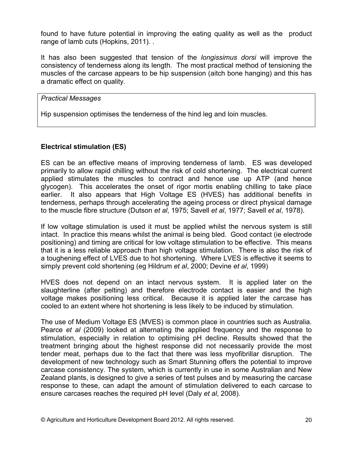found to have future potential in improving the eating quality as well as the product range of lamb cuts (Hopkins, 2011)...

It has also been suggested that tension of the *longissimus dorsi* will improve the consistency of tenderness along its length. The most practical method of tensioning the muscles of the carcase appears to be hip suspension (aitch bone hanging) and this has a dramatic effect on quality.

## **Practical Messages**

Hip suspension optimises the tenderness of the hind leg and loin muscles.

# **Electrical stimulation (ES)**

ES can be an effective means of improving tenderness of lamb. ES was developed primarily to allow rapid chilling without the risk of cold shortening. The electrical current applied stimulates the muscles to contract and hence use up ATP (and hence glycogen). This accelerates the onset of rigor mortis enabling chilling to take place It also appears that High Voltage ES (HVES) has additional benefits in earlier. tenderness, perhaps through accelerating the ageing process or direct physical damage to the muscle fibre structure (Dutson et al, 1975; Savell et al, 1977; Savell et al, 1978).

If low voltage stimulation is used it must be applied whilst the nervous system is still intact. In practice this means whilst the animal is being bled. Good contact (ie electrode positioning) and timing are critical for low voltage stimulation to be effective. This means that it is a less reliable approach than high voltage stimulation. There is also the risk of a toughening effect of LVES due to hot shortening. Where LVES is effective it seems to simply prevent cold shortening (eg Hildrum et al. 2000; Devine et al. 1999)

HVES does not depend on an intact nervous system. It is applied later on the slaughterline (after pelting) and therefore electrode contact is easier and the high voltage makes positioning less critical. Because it is applied later the carcase has cooled to an extent where hot shortening is less likely to be induced by stimulation.

The use of Medium Voltage ES (MVES) is common place in countries such as Australia. Pearce et al (2009) looked at alternating the applied frequency and the response to stimulation, especially in relation to optimising pH decline. Results showed that the treatment bringing about the highest response did not necessarily provide the most tender meat, perhaps due to the fact that there was less myofibrillar disruption. The development of new technology such as Smart Stunning offers the potential to improve carcase consistency. The system, which is currently in use in some Australian and New Zealand plants, is designed to give a series of test pulses and by measuring the carcase response to these, can adapt the amount of stimulation delivered to each carcase to ensure carcases reaches the required pH level (Daly et al. 2008).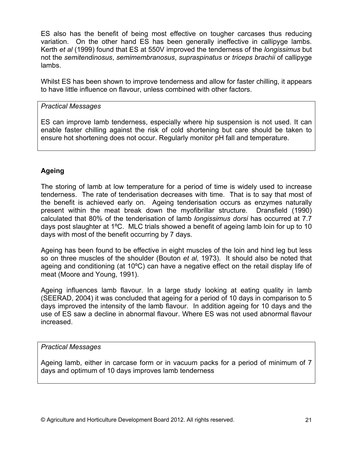ES also has the benefit of being most effective on tougher carcases thus reducing variation. On the other hand ES has been generally ineffective in callipyge lambs. Kerth et al (1999) found that ES at 550V improved the tenderness of the longissimus but not the semitendinosus, semimembranosus, supraspinatus or triceps brachii of callipyge lambs.

Whilst ES has been shown to improve tenderness and allow for faster chilling, it appears to have little influence on flavour, unless combined with other factors.

# **Practical Messages**

ES can improve lamb tenderness, especially where hip suspension is not used. It can enable faster chilling against the risk of cold shortening but care should be taken to ensure hot shortening does not occur. Regularly monitor pH fall and temperature.

# **Ageing**

The storing of lamb at low temperature for a period of time is widely used to increase tenderness. The rate of tenderisation decreases with time. That is to say that most of the benefit is achieved early on. Ageing tenderisation occurs as enzymes naturally present within the meat break down the myofibrillar structure. Dransfield (1990) calculated that 80% of the tenderisation of lamb longissimus dorsi has occurred at 7.7 days post slaughter at 1°C. MLC trials showed a benefit of ageing lamb loin for up to 10 days with most of the benefit occurring by 7 days.

Ageing has been found to be effective in eight muscles of the loin and hind leg but less so on three muscles of the shoulder (Bouton et al. 1973). It should also be noted that ageing and conditioning (at 10°C) can have a negative effect on the retail display life of meat (Moore and Young, 1991).

Ageing influences lamb flavour. In a large study looking at eating quality in lamb (SEERAD, 2004) it was concluded that ageing for a period of 10 days in comparison to 5 days improved the intensity of the lamb flayour. In addition ageing for 10 days and the use of ES saw a decline in abnormal flavour. Where ES was not used abnormal flavour increased.

# **Practical Messages**

Ageing lamb, either in carcase form or in vacuum packs for a period of minimum of 7 days and optimum of 10 days improves lamb tenderness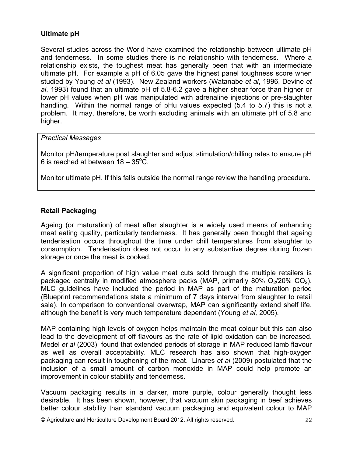# **Ultimate pH**

Several studies across the World have examined the relationship between ultimate pH and tenderness. In some studies there is no relationship with tenderness. Where a relationship exists, the toughest meat has generally been that with an intermediate ultimate pH. For example a pH of 6.05 gave the highest panel toughness score when studied by Young et al (1993). New Zealand workers (Watanabe et al, 1996, Devine et al. 1993) found that an ultimate pH of 5.8-6.2 gave a higher shear force than higher or lower pH values when pH was manipulated with adrenaline injections or pre-slaughter handling. Within the normal range of pHu values expected (5.4 to 5.7) this is not a problem. It may, therefore, be worth excluding animals with an ultimate pH of 5.8 and higher.

## **Practical Messages**

Monitor pH/temperature post slaughter and adjust stimulation/chilling rates to ensure pH 6 is reached at between  $18 - 35^{\circ}$ C.

Monitor ultimate pH. If this falls outside the normal range review the handling procedure.

# **Retail Packaging**

Ageing (or maturation) of meat after slaughter is a widely used means of enhancing meat eating quality, particularly tenderness. It has generally been thought that ageing tenderisation occurs throughout the time under chill temperatures from slaughter to consumption. Tenderisation does not occur to any substantive degree during frozen storage or once the meat is cooked.

A significant proportion of high value meat cuts sold through the multiple retailers is packaged centrally in modified atmosphere packs (MAP, primarily 80%  $O<sub>2</sub>/20% CO<sub>2</sub>$ ). MLC quidelines have included the period in MAP as part of the maturation period (Blueprint recommendations state a minimum of 7 days interval from slaughter to retail sale). In comparison to conventional overwrap, MAP can significantly extend shelf life, although the benefit is very much temperature dependant (Young et al. 2005).

MAP containing high levels of oxygen helps maintain the meat colour but this can also lead to the development of off flavours as the rate of lipid oxidation can be increased. Medel et al (2003) found that extended periods of storage in MAP reduced lamb flavour as well as overall acceptability. MLC research has also shown that high-oxygen packaging can result in toughening of the meat. Linares et al (2009) postulated that the inclusion of a small amount of carbon monoxide in MAP could help promote an improvement in colour stability and tenderness.

Vacuum packaging results in a darker, more purple, colour generally thought less desirable. It has been shown, however, that vacuum skin packaging in beef achieves better colour stability than standard vacuum packaging and equivalent colour to MAP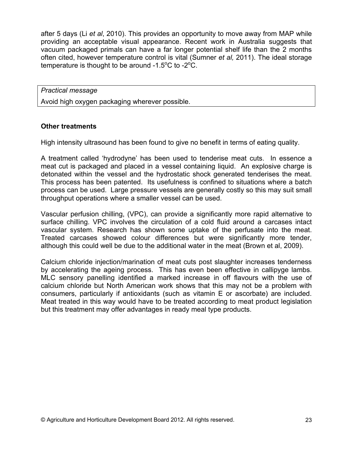after 5 days (Li et al. 2010). This provides an opportunity to move away from MAP while providing an acceptable visual appearance. Recent work in Australia suggests that vacuum packaged primals can have a far longer potential shelf life than the 2 months often cited, however temperature control is vital (Sumner et al. 2011). The ideal storage temperature is thought to be around  $-1.5^{\circ}$ C to  $-2^{\circ}$ C.

**Practical message** 

Avoid high oxygen packaging wherever possible.

## **Other treatments**

High intensity ultrasound has been found to give no benefit in terms of eating quality.

A treatment called 'hydrodyne' has been used to tenderise meat cuts. In essence a meat cut is packaged and placed in a vessel containing liquid. An explosive charge is detonated within the vessel and the hydrostatic shock generated tenderises the meat. This process has been patented. Its usefulness is confined to situations where a batch process can be used. Large pressure vessels are generally costly so this may suit small throughput operations where a smaller vessel can be used.

Vascular perfusion chilling, (VPC), can provide a significantly more rapid alternative to surface chilling. VPC involves the circulation of a cold fluid around a carcases intact vascular system. Research has shown some uptake of the perfusate into the meat. Treated carcases showed colour differences but were significantly more tender, although this could well be due to the additional water in the meat (Brown et al, 2009).

Calcium chloride injection/marination of meat cuts post slaughter increases tenderness by accelerating the ageing process. This has even been effective in callipyge lambs. MLC sensory panelling identified a marked increase in off flavours with the use of calcium chloride but North American work shows that this may not be a problem with consumers, particularly if antioxidants (such as vitamin E or ascorbate) are included. Meat treated in this way would have to be treated according to meat product legislation but this treatment may offer advantages in ready meal type products.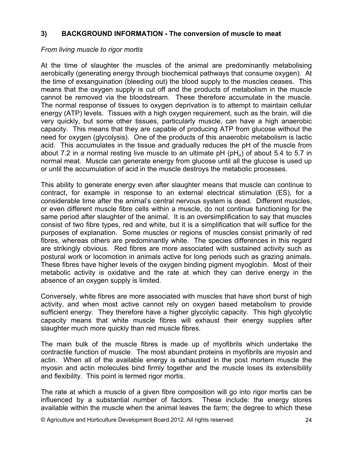#### **BACKGROUND INFORMATION - The conversion of muscle to meat**  $3)$

## From living muscle to rigor mortis

At the time of slaughter the muscles of the animal are predominantly metabolising aerobically (generating energy through biochemical pathways that consume oxygen). At the time of exsanguination (bleeding out) the blood supply to the muscles ceases. This means that the oxygen supply is cut off and the products of metabolism in the muscle cannot be removed via the bloodstream. These therefore accumulate in the muscle. The normal response of tissues to oxygen deprivation is to attempt to maintain cellular energy (ATP) levels. Tissues with a high oxygen requirement, such as the brain, will die very quickly, but some other tissues, particularly muscle, can have a high anaerobic capacity. This means that they are capable of producing ATP from glucose without the need for oxygen (glycolysis). One of the products of this anaerobic metabolism is lactic acid. This accumulates in the tissue and gradually reduces the pH of the muscle from about 7.2 in a normal resting live muscle to an ultimate  $pH(pH<sub>u</sub>)$  of about 5.4 to 5.7 in normal meat. Muscle can generate energy from glucose until all the glucose is used up or until the accumulation of acid in the muscle destroys the metabolic processes.

This ability to generate energy even after slaughter means that muscle can continue to contract, for example in response to an external electrical stimulation (ES), for a considerable time after the animal's central nervous system is dead. Different muscles, or even different muscle fibre cells within a muscle, do not continue functioning for the same period after slaughter of the animal. It is an oversimplification to say that muscles consist of two fibre types, red and white, but it is a simplification that will suffice for the purposes of explanation. Some muscles or regions of muscles consist primarily of red fibres, whereas others are predominantly white. The species differences in this regard are strikingly obvious. Red fibres are more associated with sustained activity such as postural work or locomotion in animals active for long periods such as grazing animals. These fibres have higher levels of the oxygen binding pigment myoglobin. Most of their metabolic activity is oxidative and the rate at which they can derive energy in the absence of an oxygen supply is limited.

Conversely, white fibres are more associated with muscles that have short burst of high activity, and when most active cannot rely on oxygen based metabolism to provide sufficient energy. They therefore have a higher glycolytic capacity. This high glycolytic capacity means that white muscle fibres will exhaust their energy supplies after slaughter much more quickly than red muscle fibres.

The main bulk of the muscle fibres is made up of myofibrils which undertake the contractile function of muscle. The most abundant proteins in myofibrils are myosin and actin. When all of the available energy is exhausted in the post mortem muscle the myosin and actin molecules bind firmly together and the muscle loses its extensibility and flexibility. This point is termed rigor mortis.

The rate at which a muscle of a given fibre composition will go into rigor mortis can be influenced by a substantial number of factors. These include: the energy stores available within the muscle when the animal leaves the farm; the degree to which these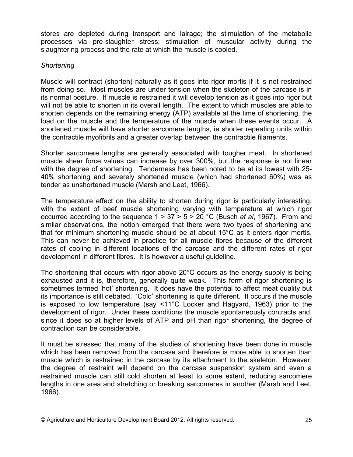stores are depleted during transport and lairage; the stimulation of the metabolic processes via pre-slaughter stress; stimulation of muscular activity during the slaughtering process and the rate at which the muscle is cooled.

# Shortening

Muscle will contract (shorten) naturally as it goes into rigor mortis if it is not restrained from doing so. Most muscles are under tension when the skeleton of the carcase is in its normal posture. If muscle is restrained it will develop tension as it goes into rigor but will not be able to shorten in its overall length. The extent to which muscles are able to shorten depends on the remaining energy (ATP) available at the time of shortening, the load on the muscle and the temperature of the muscle when these events occur. A shortened muscle will have shorter sarcomere lengths, ie shorter repeating units within the contractile myofibrils and a greater overlap between the contractile filaments.

Shorter sarcomere lengths are generally associated with tougher meat. In shortened muscle shear force values can increase by over 300%, but the response is not linear with the degree of shortening. Tenderness has been noted to be at its lowest with 25-40% shortening and severely shortened muscle (which had shortened 60%) was as tender as unshortened muscle (Marsh and Leet, 1966).

The temperature effect on the ability to shorten during rigor is particularly interesting, with the extent of beef muscle shortening varying with temperature at which rigor occurred according to the sequence  $1 > 37 > 5 > 20$  °C (Busch et al. 1967). From and similar observations, the notion emerged that there were two types of shortening and that for minimum shortening muscle should be at about 15°C as it enters rigor mortis. This can never be achieved in practice for all muscle fibres because of the different rates of cooling in different locations of the carcase and the different rates of rigor development in different fibres. It is however a useful guideline.

The shortening that occurs with rigor above  $20^{\circ}$ C occurs as the energy supply is being exhausted and it is, therefore, generally quite weak. This form of rigor shortening is sometimes termed 'hot' shortening. It does have the potential to affect meat quality but its importance is still debated. 'Cold' shortening is quite different. It occurs if the muscle is exposed to low temperature (say <11°C Locker and Hagyard, 1963) prior to the development of rigor. Under these conditions the muscle spontaneously contracts and, since it does so at higher levels of ATP and pH than rigor shortening, the degree of contraction can be considerable.

It must be stressed that many of the studies of shortening have been done in muscle which has been removed from the carcase and therefore is more able to shorten than muscle which is restrained in the carcase by its attachment to the skeleton. However, the degree of restraint will depend on the carcase suspension system and even a restrained muscle can still cold shorten at least to some extent, reducing sarcomere lengths in one area and stretching or breaking sarcomeres in another (Marsh and Leet, 1966).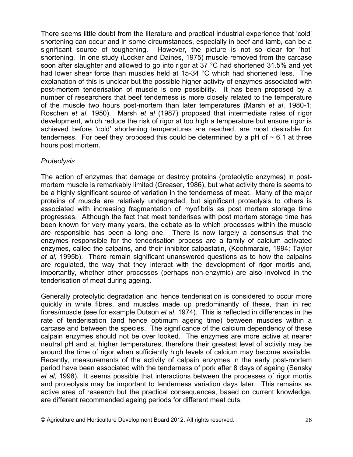There seems little doubt from the literature and practical industrial experience that 'cold' shortening can occur and in some circumstances, especially in beef and lamb, can be a significant source of toughening. However, the picture is not so clear for 'hot' shortening. In one study (Locker and Daines, 1975) muscle removed from the carcase soon after slaughter and allowed to go into rigor at 37 °C had shortened 31.5% and yet had lower shear force than muscles held at 15-34 °C which had shortened less. The explanation of this is unclear but the possible higher activity of enzymes associated with post-mortem tenderisation of muscle is one possibility. It has been proposed by a number of researchers that beef tenderness is more closely related to the temperature of the muscle two hours post-mortem than later temperatures (Marsh *et al.* 1980-1: Roschen et al, 1950). Marsh et al (1987) proposed that intermediate rates of rigor development, which reduce the risk of rigor at too high a temperature but ensure rigor is achieved before 'cold' shortening temperatures are reached, are most desirable for tenderness. For beef they proposed this could be determined by a pH of  $\sim$  6.1 at three hours post mortem.

# Proteolysis

The action of enzymes that damage or destroy proteins (proteolytic enzymes) in postmortem muscle is remarkably limited (Greaser, 1986), but what activity there is seems to be a highly significant source of variation in the tenderness of meat. Many of the major proteins of muscle are relatively undegraded, but significant proteolysis to others is associated with increasing fragmentation of myofibrils as post mortem storage time progresses. Although the fact that meat tenderises with post mortem storage time has been known for very many years, the debate as to which processes within the muscle are responsible has been a long one. There is now largely a consensus that the enzymes responsible for the tenderisation process are a family of calcium activated enzymes, called the calpains, and their inhibitor calpastatin, (Koohmaraie, 1994; Taylor et al, 1995b). There remain significant unanswered questions as to how the calpains are regulated, the way that they interact with the development of rigor mortis and. importantly, whether other processes (perhaps non-enzymic) are also involved in the tenderisation of meat during ageing.

Generally proteolytic degradation and hence tenderisation is considered to occur more quickly in white fibres, and muscles made up predominantly of these, than in red fibres/muscle (see for example Dutson et al, 1974). This is reflected in differences in the rate of tenderisation (and hence optimum ageing time) between muscles within a carcase and between the species. The significance of the calcium dependency of these calpain enzymes should not be over looked. The enzymes are more active at nearer neutral pH and at higher temperatures, therefore their greatest level of activity may be around the time of rigor when sufficiently high levels of calcium may become available. Recently, measurements of the activity of calpain enzymes in the early post-mortem period have been associated with the tenderness of pork after 8 days of ageing (Sensky et al. 1998). It seems possible that interactions between the processes of rigor mortis and proteolysis may be important to tenderness variation days later. This remains as active area of research but the practical consequences, based on current knowledge, are different recommended ageing periods for different meat cuts.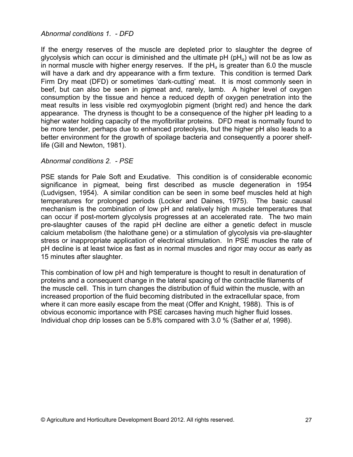## Abnormal conditions 1. - DFD

If the energy reserves of the muscle are depleted prior to slaughter the degree of glycolysis which can occur is diminished and the ultimate  $pH(pH<sub>u</sub>)$  will not be as low as in normal muscle with higher energy reserves. If the  $pH<sub>u</sub>$  is greater than 6.0 the muscle will have a dark and dry appearance with a firm texture. This condition is termed Dark Firm Dry meat (DFD) or sometimes 'dark-cutting' meat. It is most commonly seen in beef, but can also be seen in pigmeat and, rarely, lamb. A higher level of oxygen consumption by the tissue and hence a reduced depth of oxygen penetration into the meat results in less visible red oxymyoglobin pigment (bright red) and hence the dark appearance. The dryness is thought to be a consequence of the higher pH leading to a higher water holding capacity of the myofibrillar proteins. DFD meat is normally found to be more tender, perhaps due to enhanced proteolysis, but the higher pH also leads to a better environment for the growth of spoilage bacteria and consequently a poorer shelflife (Gill and Newton, 1981).

# Abnormal conditions 2. - PSE

PSE stands for Pale Soft and Exudative. This condition is of considerable economic significance in pigmeat, being first described as muscle degeneration in 1954 (Ludvigsen, 1954). A similar condition can be seen in some beef muscles held at high temperatures for prolonged periods (Locker and Daines, 1975). The basic causal mechanism is the combination of low pH and relatively high muscle temperatures that can occur if post-mortem glycolysis progresses at an accelerated rate. The two main pre-slaughter causes of the rapid pH decline are either a genetic defect in muscle calcium metabolism (the halothane gene) or a stimulation of glycolysis via pre-slaughter stress or inappropriate application of electrical stimulation. In PSE muscles the rate of pH decline is at least twice as fast as in normal muscles and rigor may occur as early as 15 minutes after slaughter.

This combination of low pH and high temperature is thought to result in denaturation of proteins and a consequent change in the lateral spacing of the contractile filaments of the muscle cell. This in turn changes the distribution of fluid within the muscle, with an increased proportion of the fluid becoming distributed in the extracellular space, from where it can more easily escape from the meat (Offer and Knight, 1988). This is of obvious economic importance with PSE carcases having much higher fluid losses. Individual chop drip losses can be 5.8% compared with 3.0 % (Sather et al, 1998).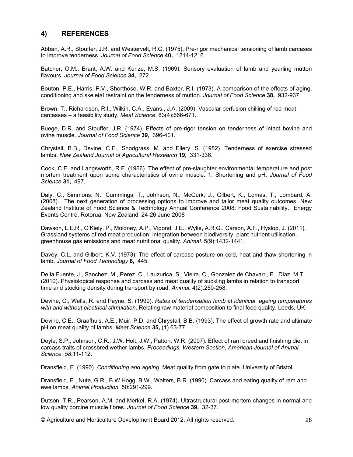#### 4) **REFERENCES**

Abban, A.R., Stouffer, J.R. and Westervelt, R.G. (1975). Pre-rigor mechanical tensioning of lamb carcases to improve tenderness. Journal of Food Science 40, 1214-1216.

Batcher, O.M., Brant, A.W. and Kunze, M.S. (1969). Sensory evaluation of lamb and yearling mutton flavours. Journal of Food Science 34, 272.

Bouton, P.E., Harris, P.V., Shorthose, W.R. and Baxter, R.I. (1973). A comparison of the effects of aging, conditioning and skeletal restraint on the tenderness of mutton. Journal of Food Science 38, 932-937.

Brown, T., Richardson, R.I., Wilkin, C.A., Evans., J.A. (2009). Vascular perfusion chilling of red meat carcasses - a feasibility study. Meat Science. 83(4):666-671.

Buege, D.R. and Stouffer, J.R. (1974). Effects of pre-rigor tension on tenderness of intact bovine and ovine muscle. Journal of Food Science 39, 396-401.

Chrystall, B.B., Devine, C.E., Snodgrass, M. and Ellery, S. (1982). Tenderness of exercise stressed lambs. New Zealand Journal of Agricultural Research 19, 331-336.

Cook, C.F. and Langsworth, R.F. (1966). The effect of pre-slaughter environmental temperature and post mortem treatment upon some characteristics of ovine muscle. 1. Shortening and pH. Journal of Food Science 31, 497.

Daly, C., Simmons, N., Cummings, T., Johnson, N., McGurk, J., Gilbert, K., Lomas, T., Lombard, A. (2008). The next generation of processing options to improve and tailor meat quality outcomes. New Zealand Institute of Food Science & Technology Annual Conference 2008: Food Sustainability. Energy Events Centre, Rotorua, New Zealand. 24-26 June 2008

Dawson, L.E.R., O'Kiely, P., Moloney, A.P., Vipond, J.E., Wylie, A.R.G., Carson, A.F., Hyslop, J. (2011). Grassland systems of red meat production: integration between biodiversity, plant nutrient utilisation, greenhouse gas emissions and meat nutritional quality. Animal. 5(9):1432-1441.

Davey, C.L. and Gilbert, K.V. (1973). The effect of carcase posture on cold, heat and thaw shortening in lamb. Journal of Food Technology 8, 445.

De la Fuente, J., Sanchez, M., Perez, C., Lauzurica, S., Vieira, C., Gonzalez de Chavarri, E., Diaz, M.T. (2010). Physiological response and carcass and meat quality of suckling lambs in relation to transport time and stocking density during transport by road. Animal. 4(2):250-258.

Devine, C., Wells, R. and Payne, S. (1999). Rates of tenderisation lamb at identical ageing temperatures with and without electrical stimulation. Relating raw material composition to final food quality. Leeds, UK.

Devine, C.E., Graafhuis, A.E., Muir, P.D. and Chrystall, B.B. (1993). The effect of growth rate and ultimate pH on meat quality of lambs. Meat Science 35, (1) 63-77.

Doyle, S.P., Johnson, C.R., J.W. Holt, J.W., Patton, W.R. (2007). Effect of ram breed and finishing diet in carcass traits of crossbred wether lambs. Proceedings, Western Section, American Journal of Animal Science, 58:11-112.

Dransfield, E. (1990). Conditioning and ageing. Meat quality from gate to plate. University of Bristol.

Dransfield, E., Nute, G.R., B W Hogg, B.W., Walters, B.R. (1990). Carcass and eating quality of ram and ewe lambs. Animal Production. 50:291-299.

Dutson, T.R., Pearson, A.M. and Merkel, R.A. (1974). Ultrastructural post-mortem changes in normal and low quality porcine muscle fibres. Journal of Food Science 39, 32-37.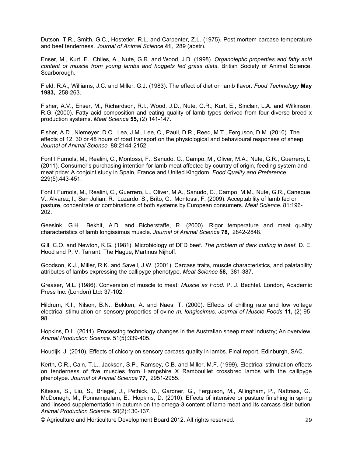Dutson, T.R., Smith, G.C., Hostetler, R.L. and Carpenter, Z.L. (1975). Post mortem carcase temperature and beef tenderness. Journal of Animal Science 41, 289 (abstr).

Enser, M., Kurt, E., Chiles, A., Nute, G.R. and Wood, J.D. (1998). Organoleptic properties and fatty acid *content of muscle from young lambs and hoggets fed grass diets*. British Society of Animal Science. Scarborough.

Field, R.A., Williams, J.C. and Miller, G.J. (1983). The effect of diet on lamb flavor. Food Technology May **1983, 258-263.** 

Fisher, A.V., Enser, M., Richardson, R.I., Wood, J.D., Nute, G.R., Kurt, E., Sinclair, L.A. and Wilkinson, R.G. (2000). Fatty acid composition and eating quality of lamb types derived from four diverse breed x production systems. Meat Science 55, (2) 141-147.

Fisher, A.D., Niemeyer, D.O., Lea, J.M., Lee, C., Paull, D.R., Reed, M.T., Ferguson, D.M. (2010). The  $-$ effects of 12, 30 or 48 hours of road transport on the physiological and behavioural responses of sheep. Journal of Animal Science. 88:2144-2152.

Font I Furnols, M., Realini, C., Montossi, F., Sanudo, C., Campo, M., Oliver, M.A., Nute, G.R., Guerrero, L. (2011). Consumer's purchasing intention for lamb meat affected by country of origin, feeding system and meat price: A conioint study in Spain. France and United Kingdom, Food Quality and Preference. 229(5):443-451.

Font I Furnols, M., Realini, C., Guerrero, L., Oliver, M.A., Sanudo, C., Campo, M.M., Nute, G.R., Caneque, V., Alvarez, I., San Julian, R., Luzardo, S., Brito, G., Montossi, F. (2009). Acceptability of lamb fed on  $A$  pasture, concentrate or combinations of both systems by European consumers. Meat Science. 81:196-202.

Geesink, G.H., Bekhit, A.D. and Bicherstaffe, R. (2000). Rigor temperature and meat quality  $:$ characteristics of lamb longissimus muscle. Journal of Animal Science 78, 2842-2848.

Gill, C.O. and Newton, K.G. (1981). Microbiology of DFD beef. The problem of dark cutting in beef. D. E. Hood and P. V. Tarrant. The Hague, Martinus Nijhoff.

Goodson, K.J., Miller, R.K. and Savell, J.W. (2001). Carcass traits, muscle characteristics, and palatability attributes of lambs expressing the callipyge phenotype. Meat Science 58, 381-387.

Greaser, M.L. (1986). Conversion of muscle to meat. *Muscle as Food. P. J. Bechtel. London, Academic* Press Inc. (London) Ltd: 37-102.

Hildrum, K.I., Nilson, B.N., Bekken, A. and Naes, T. (2000). Effects of chilling rate and low voltage  $\epsilon$  electrical stimulation on sensory properties of ovine *m. longissimus. Journal of Muscle Foods* 11, (2) 95-98.

Hopkins, D.L. (2011). Processing technology changes in the Australian sheep meat industry; An overview. Animal Production Science. 51(5):339-405.

Houdijk, J. (2010). Effects of chicory on sensory carcass quality in lambs. Final report. Edinburgh, SAC.

Kerth, C.R., Cain, T.L., Jackson, S.P., Ramsey, C.B. and Miller, M.F. (1999). Electrical stimulation effects on tenderness of five muscles from Hampshire X Rambouillet crossbred lambs with the callipyge phenotype. Journal of Animal Science 77, 2951-2955.

Kitessa, S., Liu, S., Briegel, J., Pethick, D., Gardner, G., Ferguson, M., Allingham, P., Nattrass, G., McDonagh, M., Ponnampalam, E., Hopkins, D. (2010). Effects of intensive or pasture finishing in spring and linseed supplementation in autumn on the omega-3 content of lamb meat and its carcass distribution. Animal Production Science. 50(2):130-137.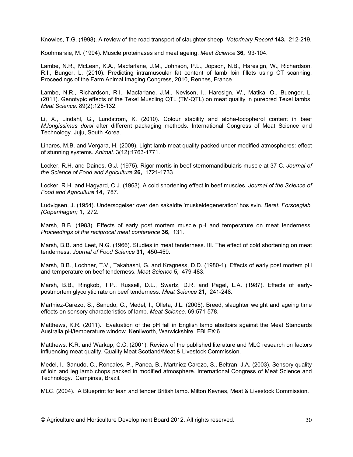Knowles, T.G. (1998). A review of the road transport of slaughter sheep. Veterinary Record 143, 212-219.

Koohmaraie, M. (1994). Muscle proteinases and meat ageing. Meat Science 36, 93-104.

Lambe, N.R., McLean, K.A., Macfarlane, J.M., Johnson, P.L., Jopson, N.B., Haresign, W., Richardson, R.I., Bunger, L. (2010). Predicting intramuscular fat content of lamb loin fillets using CT scanning. Proceedings of the Farm Animal Imaging Congress, 2010, Rennes, France.

Lambe, N.R., Richardson, R.I., Macfarlane, J.M., Nevison, I., Haresign, W., Matika, O., Buenger, L. (2011). Genotypic effects of the Texel Muscling QTL (TM-QTL) on meat quality in purebred Texel lambs. Meat Science. 89(2):125-132.

Li, X., Lindahl, G., Lundstrom, K. (2010). Colour stability and alpha-tocopherol content in beef M.longissimus dorsi after different packaging methods. International Congress of Meat Science and Technology. Juju, South Korea.

Linares, M.B. and Vergara, H. (2009). Light lamb meat quality packed under modified atmospheres: effect of stunning systems. Animal. 3(12):1763-1771.

Locker, R.H. and Daines, G.J. (1975). Rigor mortis in beef sternomandibularis muscle at 37 C. Journal of the Science of Food and Agriculture 26, 1721-1733.

Locker, R.H. and Hagyard, C.J. (1963). A cold shortening effect in beef muscles. Journal of the Science of Food and Agriculture 14, 787.

Ludvigsen, J. (1954). Undersogelser over den sakaldte 'muskeldegeneration' hos svin. Beret. Forsoeglab. (Copenhagen) 1, 272.

Marsh, B.B. (1983). Effects of early post mortem muscle pH and temperature on meat tenderness. Proceedings of the reciprocal meat conference 36, 131.

Marsh, B.B. and Leet, N.G. (1966). Studies in meat tenderness. III. The effect of cold shortening on meat tenderness. Journal of Food Science 31, 450-459.

Marsh, B.B., Lochner, T.V., Takahashi, G. and Kragness, D.D. (1980-1). Effects of early post mortem pH and temperature on beef tenderness. Meat Science 5, 479-483.

Marsh, B.B., Ringkob, T.P., Russell, D.L., Swartz, D.R. and Pagel, L.A. (1987). Effects of earlypostmortem glycolytic rate on beef tenderness. Meat Science 21, 241-248.

Martniez-Carezo, S., Sanudo, C., Medel, I., Olleta, J.L. (2005). Breed, slaughter weight and ageing time effects on sensory characteristics of lamb. Meat Science. 69:571-578.

Matthews, K.R. (2011). Evaluation of the pH fall in English lamb abattoirs against the Meat Standards Australia pH/temperature window. Kenilworth, Warwickshire. EBLEX:6

Matthews, K.R. and Warkup, C.C. (2001). Review of the published literature and MLC research on factors influencing meat quality. Quality Meat Scotland/Meat & Livestock Commission.

Medel, I., Sanudo, C., Roncales, P., Panea, B., Martniez-Carezo, S., Beltran, J.A. (2003). Sensory quality of loin and leg lamb chops packed in modified atmosphere. International Congress of Meat Science and Technology., Campinas, Brazil.

MLC. (2004). A Blueprint for lean and tender British lamb. Milton Keynes, Meat & Livestock Commission.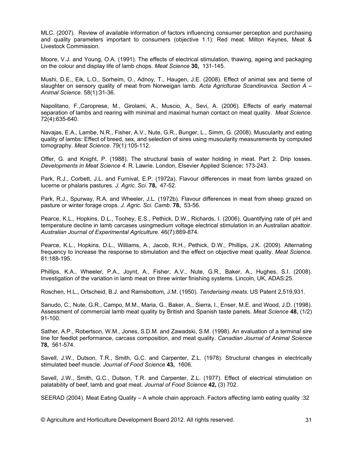MLC. (2007). Review of available information of factors influencing consumer perception and purchasing and quality parameters important to consumers (objective 1.1): Red meat. Milton Keynes, Meat & Livestock Commission.

Moore, V.J. and Young, O.A. (1991). The effects of electrical stimulation, thawing, ageing and packaging on the colour and display life of lamb chops. Meat Science 30, 131-145.

Mushi, D.E., Eik, L.O., Sorheim, O., Adnoy, T., Haugen, J.E. (2008). Effect of animal sex and tieme of slaughter on sensory quality of meat from Norweigan lamb. Acta Agriciturae Scandinavica. Section A -Animal Science. 58(1):31-36.

Napolitano, F., Caroprese, M., Girolami, A., Muscio, A., Sevi, A. (2006). Effects of early maternal separation of lambs and rearing with minimal and maximal human contact on meat quality. Meat Science. 72(4):635-640.

Navajas, E.A., Lambe, N.R., Fisher, A.V., Nute, G.R., Bunger, L., Simm, G. (2008). Muscularity and eating quality of lambs: Effect of breed, sex, and selection of sires using muscularity measurements by computed tomography. Meat Science. 79(1):105-112.

Offer, G. and Knight, P. (1988). The structural basis of water holding in meat. Part 2. Drip losses. Developments in Meat Science 4. R. Lawrie. London, Elsevier Applied Science: 173-243.

Park, R.J., Corbett, J.L. and Furnival, E.P. (1972a). Flavour differences in meat from lambs grazed on lucerne or phalaris pastures. J. Agric. Sci. 78, 47-52.

Park, R.J., Spurway, R.A. and Wheeler, J.L. (1972b). Flavour differences in meat from sheep grazed on pasture or winter forage crops. J. Agric. Sci. Camb. 78, 53-56.

Pearce, K.L., Hopkins, D.L., Toohey, E.S., Pethick, D.W., Richards, I. (2006). Quantifying rate of pH and temperature decline in lamb carcases usingmedium voltage electrical stimulation in an Australian abattoir. Australian Journal of Experimental Agriculture. 46(7):869-874.

Pearce, K.L., Hopkins, D.L., Williams, A., Jacob, R.H., Pethick, D.W., Phillips, J.K. (2009). Alternating frequency to increase the response to stimulation and the effect on objective meat quality. Meat Science. 81:188-195.

Phillips, K.A., Wheeler, P.A., Joynt, A., Fisher, A.V., Nute, G.R., Baker, A., Hughes, S.I. (2008). Investigation of the variation in lamb meat on three winter finishing systems. Lincoln, UK, ADAS:25.

Roschen, H.L., Ortscheid, B.J. and Ramsbottom, J.M. (1950). Tenderising meats. US Patent 2,519,931.

Sanudo, C., Nute, G.R., Campo, M.M., Maria, G., Baker, A., Sierra, I., Enser, M.E. and Wood, J.D. (1998). Assessment of commercial lamb meat quality by British and Spanish taste panels. Meat Science 48, (1/2)  $91-100.$ 

Sather, A.P., Robertson, W.M., Jones, S.D.M. and Zawadski, S.M. (1998). An evaluation of a terminal sire line for feedlot performance, carcass composition, and meat quality. Canadian Journal of Animal Science 78, 561-574.

Savell, J.W., Dutson, T.R., Smith, G.C. and Carpenter, Z.L. (1978). Structural changes in electrically stimulated beef muscle. Journal of Food Science 43, 1606.

Savell, J.W., Smith, G.C., Dutson, T.R. and Carpenter, Z.L. (1977). Effect of electrical stimulation on palatability of beef, lamb and goat meat. Journal of Food Science 42, (3) 702.

SEERAD (2004). Meat Eating Quality – A whole chain approach. Factors affecting lamb eating quality :32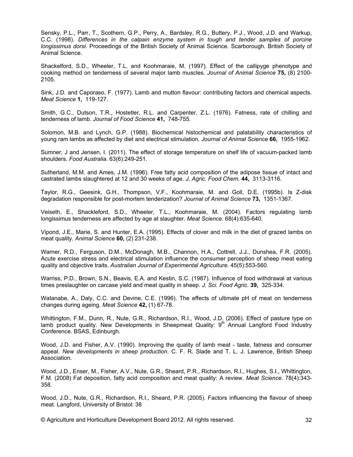Sensky, P.L., Parr, T., Scothern, G.P., Perry, A., Bardsley, R.G., Buttery, P.J., Wood, J.D. and Warkup, C.C. (1998). Differences in the calpain enzyme system in tough and tender samples of porcine *longissimus dorsi*. Proceedings of the British Society of Animal Science. Scarborough. British Society of Animal Science.

Shackelford, S.D., Wheeler, T.L. and Koohmaraie, M. (1997). Effect of the callipyge phenotype and cooking method on tenderness of several major lamb muscles. Journal of Animal Science 75, (8) 2100-2105.

 $\sin k$ , J.D. and Caporaso, F. (1977). Lamb and mutton flavour: contributing factors and chemical aspects. *Meat Science* **1.** 119-127.

 $\mathsf{Smith}, \mathsf{G.C.,}$  Dutson, T.R., Hostetler, R.L. and Carpenter, Z.L. (1976). Fatness, rate of chilling and tenderness of lamb. Journal of Food Science 41, 748-755.

Solomon, M.B. and Lynch, G.P. (1988). Biochemical histochemical and palatability characteristics of young ram lambs as affected by diet and electrical stimulation. Journal of Animal Science 66, 1955-1962.

Sumner, J and Jensen, I. (2011). The effect of storage temperature on shelf life of vacuum-packed lamb shoulders. Food Australia. 63(6):249-251.

Sutherland, M.M. and Ames, J.M. (1996). Free fatty acid composition of the adipose tissue of intact and castrated lambs slaughtered at 12 and 30 weeks of age. J. Agric. Food Chem. 44, 3113-3116.

Taylor, R.G., Geesink, G.H., Thompson, V.F., Koohmaraie, M. and Goll, D.E. (1995b). Is Z-disk .+ degradation responsible for post-mortem tenderization? Journal of Animal Science 73, 1351-1367.

Veiseth, E., Shackleford, S.D., Wheeler, T.L., Koohmaraie, M. (2004). Factors regulating lamb longissimus tenderness are affected by age at slaughter. Meat Science. 68(4):635-640.

Vipond, J.E., Marie, S. and Hunter, E.A. (1995). Effects of clover and milk in the diet of grazed lambs on meat quality. Animal Science **60**, (2) 231-238.

Warner, R.D., Ferguson, D.M., McDonagh, M.B., Channon, H.A., Cottrell, J.J., Dunshea, F.R. (2005). Acute exercise stress and electrical stimulation influence the consumer perception of sheep meat eating auality and obiective traits. Australian Journal of Experimental Agriculture. 45(5):553-560.

Warriss, P.D., Brown, S.N., Beavis, E.A. and Kestin, S.C. (1987). Influence of food withdrawal at various times preslaughter on carcase yield and meat quality in sheep. J. Sci. Food Agric. **39,** 325-334.

Watanabe, A., Daly, C.C. and Devine, C.E. (1996). The effects of ultimate pH of meat on tenderness changes during ageing. Meat Science 42, (1) 67-78.

Whittington, F.M., Dunn, R., Nute, G.R., Richardson, R.I., Wood, J.D. (2006). Effect of pasture type on lamb product quality. New Developments in Sheepmeat Quality:  $9<sup>th</sup>$  Annual Langford Food Industry Conference. BSAS, Edinburgh.

Wood, J.D. and Fisher, A.V. (1990). Improving the quality of lamb meat - taste, fatness and consumer appeal. *New developments in sheep production*. C. F. R. Slade and T. L. J. Lawrence, British Sheep Association.

Wood, J.D., Enser, M., Fisher, A.V., Nute, G.R., Sheard, P.R., Richardson, R.I., Hughes, S.I., Whittington, F.M. (2008) Fat deposition, fatty acid composition and meat quality: A review. Meat Science. 78(4):343-358.

Wood, J.D., Nute, G.R., Richardson, R.I., Sheard, P.R. (2005). Factors influencing the flavour of sheep meat. Langford, University of Bristol: 38

 $\oslash$  Agriculture and Horticulture Development Board 2012. All rights reserved.  $\qquad \qquad \qquad$  32